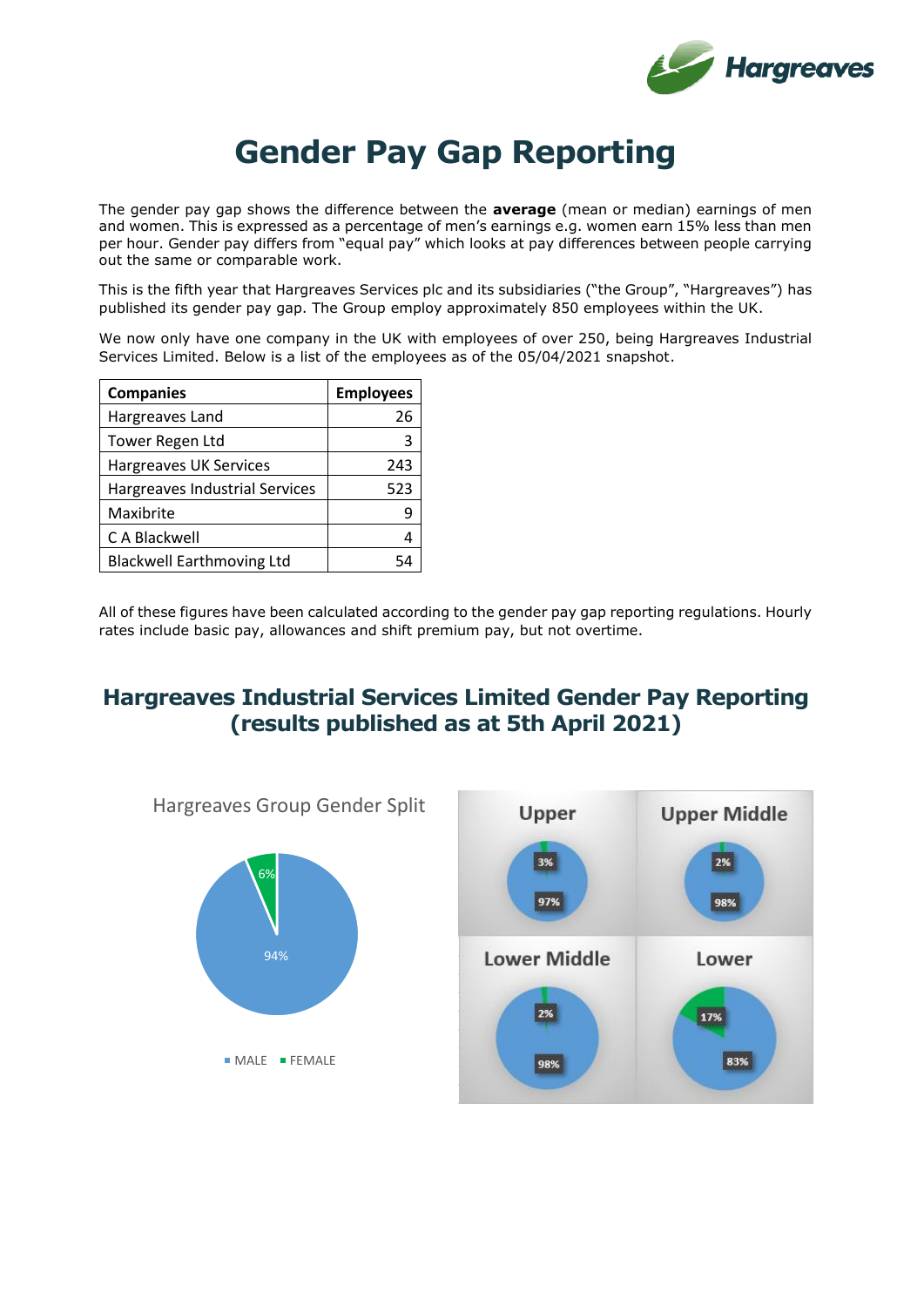

## **Gender Pay Gap Reporting**

The gender pay gap shows the difference between the **average** (mean or median) earnings of men and women. This is expressed as a percentage of men's earnings e.g. women earn 15% less than men per hour. Gender pay differs from "equal pay" which looks at pay differences between people carrying out the same or comparable work.

This is the fifth year that Hargreaves Services plc and its subsidiaries ("the Group", "Hargreaves") has published its gender pay gap. The Group employ approximately 850 employees within the UK.

We now only have one company in the UK with employees of over 250, being Hargreaves Industrial Services Limited. Below is a list of the employees as of the 05/04/2021 snapshot.

| <b>Companies</b>                 | <b>Employees</b> |
|----------------------------------|------------------|
| Hargreaves Land                  | 26               |
| Tower Regen Ltd                  |                  |
| Hargreaves UK Services           | 243              |
| Hargreaves Industrial Services   | 523              |
| Maxibrite                        |                  |
| C A Blackwell                    |                  |
| <b>Blackwell Earthmoving Ltd</b> |                  |

All of these figures have been calculated according to the gender pay gap reporting regulations. Hourly rates include basic pay, allowances and shift premium pay, but not overtime.

## **Hargreaves Industrial Services Limited Gender Pay Reporting (results published as at 5th April 2021)**

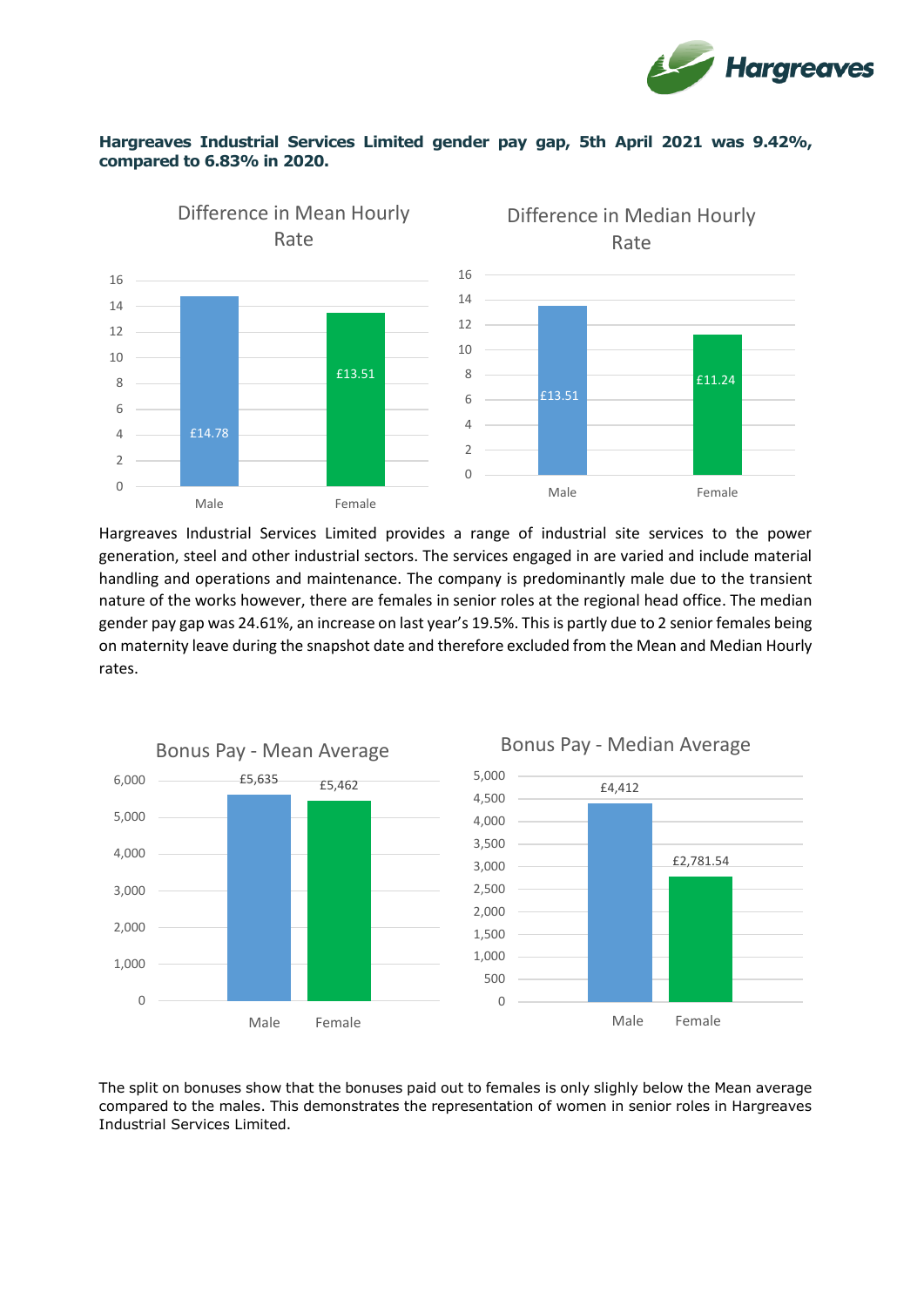

## **Hargreaves Industrial Services Limited gender pay gap, 5th April 2021 was 9.42%, compared to 6.83% in 2020.**



Hargreaves Industrial Services Limited provides a range of industrial site services to the power generation, steel and other industrial sectors. The services engaged in are varied and include material handling and operations and maintenance. The company is predominantly male due to the transient nature of the works however, there are females in senior roles at the regional head office. The median gender pay gap was 24.61%, an increase on last year's 19.5%. This is partly due to 2 senior females being on maternity leave during the snapshot date and therefore excluded from the Mean and Median Hourly rates.



The split on bonuses show that the bonuses paid out to females is only slighly below the Mean average compared to the males. This demonstrates the representation of women in senior roles in Hargreaves Industrial Services Limited.